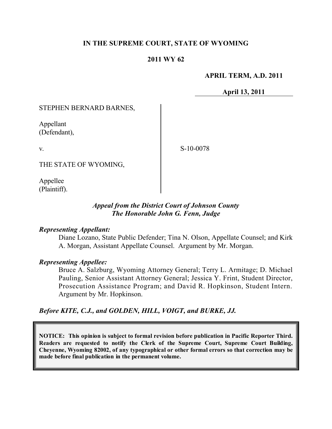### **IN THE SUPREME COURT, STATE OF WYOMING**

### **2011 WY 62**

#### **APRIL TERM, A.D. 2011**

**April 13, 2011**

#### STEPHEN BERNARD BARNES,

Appellant (Defendant),

v.

S-10-0078

THE STATE OF WYOMING,

Appellee (Plaintiff).

### *Appeal from the District Court of Johnson County The Honorable John G. Fenn, Judge*

#### *Representing Appellant:*

Diane Lozano, State Public Defender; Tina N. Olson, Appellate Counsel; and Kirk A. Morgan, Assistant Appellate Counsel. Argument by Mr. Morgan.

#### *Representing Appellee:*

Bruce A. Salzburg, Wyoming Attorney General; Terry L. Armitage; D. Michael Pauling, Senior Assistant Attorney General; Jessica Y. Frint, Student Director, Prosecution Assistance Program; and David R. Hopkinson, Student Intern. Argument by Mr. Hopkinson.

### *Before KITE, C.J., and GOLDEN, HILL, VOIGT, and BURKE, JJ.*

**NOTICE: This opinion is subject to formal revision before publication in Pacific Reporter Third. Readers are requested to notify the Clerk of the Supreme Court, Supreme Court Building, Cheyenne, Wyoming 82002, of any typographical or other formal errors so that correction may be made before final publication in the permanent volume.**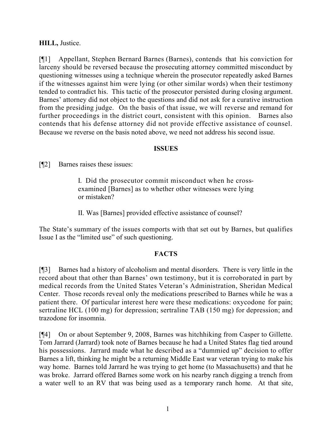## **HILL,** Justice.

[¶1] Appellant, Stephen Bernard Barnes (Barnes), contends that his conviction for larceny should be reversed because the prosecuting attorney committed misconduct by questioning witnesses using a technique wherein the prosecutor repeatedly asked Barnes if the witnesses against him were lying (or other similar words) when their testimony tended to contradict his. This tactic of the prosecutor persisted during closing argument. Barnes' attorney did not object to the questions and did not ask for a curative instruction from the presiding judge. On the basis of that issue, we will reverse and remand for further proceedings in the district court, consistent with this opinion. Barnes also contends that his defense attorney did not provide effective assistance of counsel. Because we reverse on the basis noted above, we need not address his second issue.

### **ISSUES**

[¶2] Barnes raises these issues:

I. Did the prosecutor commit misconduct when he crossexamined [Barnes] as to whether other witnesses were lying or mistaken?

II. Was [Barnes] provided effective assistance of counsel?

The State's summary of the issues comports with that set out by Barnes, but qualifies Issue I as the "limited use" of such questioning.

# **FACTS**

[¶3] Barnes had a history of alcoholism and mental disorders. There is very little in the record about that other than Barnes' own testimony, but it is corroborated in part by medical records from the United States Veteran's Administration, Sheridan Medical Center. Those records reveal only the medications prescribed to Barnes while he was a patient there. Of particular interest here were these medications: oxycodone for pain; sertraline HCL (100 mg) for depression; sertraline TAB (150 mg) for depression; and trazodone for insomnia.

[¶4] On or about September 9, 2008, Barnes was hitchhiking from Casper to Gillette. Tom Jarrard (Jarrard) took note of Barnes because he had a United States flag tied around his possessions. Jarrard made what he described as a "dummied up" decision to offer Barnes a lift, thinking he might be a returning Middle East war veteran trying to make his way home. Barnes told Jarrard he was trying to get home (to Massachusetts) and that he was broke. Jarrard offered Barnes some work on his nearby ranch digging a trench from a water well to an RV that was being used as a temporary ranch home. At that site,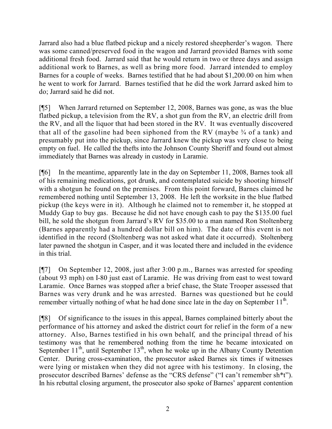Jarrard also had a blue flatbed pickup and a nicely restored sheepherder's wagon. There was some canned/preserved food in the wagon and Jarrard provided Barnes with some additional fresh food. Jarrard said that he would return in two or three days and assign additional work to Barnes, as well as bring more food. Jarrard intended to employ Barnes for a couple of weeks. Barnes testified that he had about \$1,200.00 on him when he went to work for Jarrard. Barnes testified that he did the work Jarrard asked him to do; Jarrard said he did not.

[¶5] When Jarrard returned on September 12, 2008, Barnes was gone, as was the blue flatbed pickup, a television from the RV, a shot gun from the RV, an electric drill from the RV, and all the liquor that had been stored in the RV. It was eventually discovered that all of the gasoline had been siphoned from the RV (maybe  $\frac{3}{4}$  of a tank) and presumably put into the pickup, since Jarrard knew the pickup was very close to being empty on fuel. He called the thefts into the Johnson County Sheriff and found out almost immediately that Barnes was already in custody in Laramie.

[¶6] In the meantime, apparently late in the day on September 11, 2008, Barnes took all of his remaining medications, got drunk, and contemplated suicide by shooting himself with a shotgun he found on the premises. From this point forward, Barnes claimed he remembered nothing until September 13, 2008. He left the worksite in the blue flatbed pickup (the keys were in it). Although he claimed not to remember it, he stopped at Muddy Gap to buy gas. Because he did not have enough cash to pay the \$135.00 fuel bill, he sold the shotgun from Jarrard's RV for \$35.00 to a man named Ron Stoltenberg (Barnes apparently had a hundred dollar bill on him). The date of this event is not identified in the record (Stoltenberg was not asked what date it occurred). Stoltenberg later pawned the shotgun in Casper, and it was located there and included in the evidence in this trial.

[¶7] On September 12, 2008, just after 3:00 p.m., Barnes was arrested for speeding (about 93 mph) on I-80 just east of Laramie. He was driving from east to west toward Laramie. Once Barnes was stopped after a brief chase, the State Trooper assessed that Barnes was very drunk and he was arrested. Barnes was questioned but he could remember virtually nothing of what he had done since late in the day on September  $11<sup>th</sup>$ .

[¶8] Of significance to the issues in this appeal, Barnes complained bitterly about the performance of his attorney and asked the district court for relief in the form of a new attorney. Also, Barnes testified in his own behalf, and the principal thread of his testimony was that he remembered nothing from the time he became intoxicated on September  $11^{th}$ , until September  $13^{th}$ , when he woke up in the Albany County Detention Center. During cross-examination, the prosecutor asked Barnes six times if witnesses were lying or mistaken when they did not agree with his testimony. In closing, the prosecutor described Barnes' defense as the "CRS defense" ("I can't remember sh\*t"). In his rebuttal closing argument, the prosecutor also spoke of Barnes' apparent contention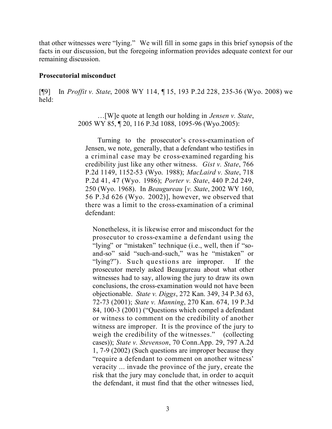that other witnesses were "lying." We will fill in some gaps in this brief synopsis of the facts in our discussion, but the foregoing information provides adequate context for our remaining discussion.

#### **Prosecutorial misconduct**

[¶9] In *Proffit v. State*, 2008 WY 114, ¶ 15, 193 P.2d 228, 235-36 (Wyo. 2008) we held:

> …[W]e quote at length our holding in *Jensen v. State*, 2005 WY 85, ¶ 20, 116 P.3d 1088, 1095-96 (Wyo.2005):

Turning to the prosecutor's cross-examination of Jensen, we note, generally, that a defendant who testifies in a criminal case may be cross-examined regarding his credibility just like any other witness. *Gist v. State*, 766 P.2d 1149, 1152-53 (Wyo. 1988); *MacLaird v. State*, 718 P.2d 41, 47 (Wyo. 1986); *Porter v. State*, 440 P.2d 249, 250 (Wyo. 1968). In *Beaugureau* [*v. State*, 2002 WY 160, 56 P.3d 626 (Wyo. 2002)], however, we observed that there was a limit to the cross-examination of a criminal defendant:

Nonetheless, it is likewise error and misconduct for the prosecutor to cross-examine a defendant using the "lying" or "mistaken" technique (i.e., well, then if "soand-so" said "such-and-such," was he "mistaken" or "lying?"). Such questions are improper. If the prosecutor merely asked Beaugureau about what other witnesses had to say, allowing the jury to draw its own conclusions, the cross-examination would not have been objectionable. *State v. Diggs*, 272 Kan. 349, 34 P.3d 63, 72-73 (2001); *State v. Manning*, 270 Kan. 674, 19 P.3d 84, 100-3 (2001) ("Questions which compel a defendant or witness to comment on the credibility of another witness are improper. It is the province of the jury to weigh the credibility of the witnesses." (collecting cases)); *State v. Stevenson*, 70 Conn.App. 29, 797 A.2d 1, 7-9 (2002) (Such questions are improper because they "require a defendant to comment on another witness' veracity ... invade the province of the jury, create the risk that the jury may conclude that, in order to acquit the defendant, it must find that the other witnesses lied,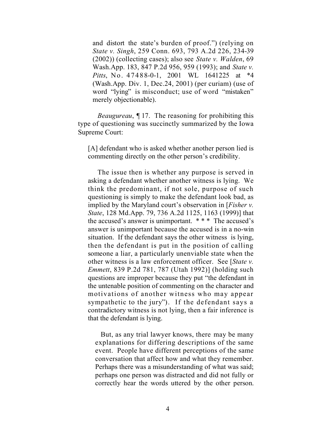and distort the state's burden of proof.") (relying on *State v. Singh*, 259 Conn. 693, 793 A.2d 226, 234-39 (2002)) (collecting cases); also see *State v. Walden*, 69 Wash.App. 183, 847 P.2d 956, 959 (1993); and *State v. Pitts*, No. 47488-0-1, 2001 WL 1641225 at \*4 (Wash.App. Div. 1, Dec.24, 2001) (per curiam) (use of word "lying" is misconduct; use of word "mistaken" merely objectionable).

*Beaugureau*, ¶ 17. The reasoning for prohibiting this type of questioning was succinctly summarized by the Iowa Supreme Court:

[A] defendant who is asked whether another person lied is commenting directly on the other person's credibility.

The issue then is whether any purpose is served in asking a defendant whether another witness is lying. We think the predominant, if not sole, purpose of such questioning is simply to make the defendant look bad, as implied by the Maryland court's observation in [*Fisher v. State*, 128 Md.App. 79, 736 A.2d 1125, 1163 (1999)] that the accused's answer is unimportant. \* \* \* The accused's answer is unimportant because the accused is in a no-win situation. If the defendant says the other witness is lying, then the defendant is put in the position of calling someone a liar, a particularly unenviable state when the other witness is a law enforcement officer. See [*State v. Emmett*, 839 P.2d 781, 787 (Utah 1992)] (holding such questions are improper because they put "the defendant in the untenable position of commenting on the character and motivations of another witness who may appear sympathetic to the jury"). If the defendant says a contradictory witness is not lying, then a fair inference is that the defendant is lying.

 But, as any trial lawyer knows, there may be many explanations for differing descriptions of the same event. People have different perceptions of the same conversation that affect how and what they remember. Perhaps there was a misunderstanding of what was said; perhaps one person was distracted and did not fully or correctly hear the words uttered by the other person.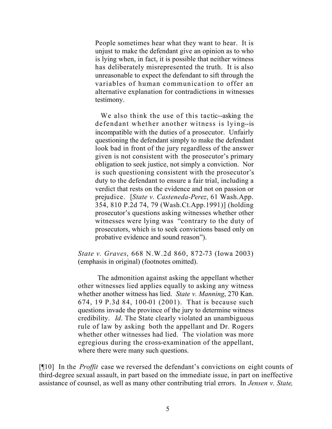People sometimes hear what they want to hear. It is unjust to make the defendant give an opinion as to who is lying when, in fact, it is possible that neither witness has deliberately misrepresented the truth. It is also unreasonable to expect the defendant to sift through the variables of human communication to offer an alternative explanation for contradictions in witnesses testimony.

 We also think the use of this tactic--asking the defendant whether another witness is lying--is incompatible with the duties of a prosecutor. Unfairly questioning the defendant simply to make the defendant look bad in front of the jury regardless of the answer given is not consistent with the prosecutor's primary obligation to seek justice, not simply a conviction. Nor is such questioning consistent with the prosecutor's duty to the defendant to ensure a fair trial, including a verdict that rests on the evidence and not on passion or prejudice. [*State v. Casteneda-Perez*, 61 Wash.App. 354, 810 P.2d 74, 79 (Wash.Ct.App.1991)] (holding prosecutor's questions asking witnesses whether other witnesses were lying was "contrary to the duty of prosecutors, which is to seek convictions based only on probative evidence and sound reason").

*State v. Graves*, 668 N.W.2d 860, 872-73 (Iowa 2003) (emphasis in original) (footnotes omitted).

The admonition against asking the appellant whether other witnesses lied applies equally to asking any witness whether another witness has lied. *State v. Manning*, 270 Kan. 674, 19 P.3d 84, 100-01 (2001). That is because such questions invade the province of the jury to determine witness credibility. *Id*. The State clearly violated an unambiguous rule of law by asking both the appellant and Dr. Rogers whether other witnesses had lied. The violation was more egregious during the cross-examination of the appellant, where there were many such questions.

[¶10] In the *Proffit* case we reversed the defendant's convictions on eight counts of third-degree sexual assault, in part based on the immediate issue, in part on ineffective assistance of counsel, as well as many other contributing trial errors. In *Jensen v. State,*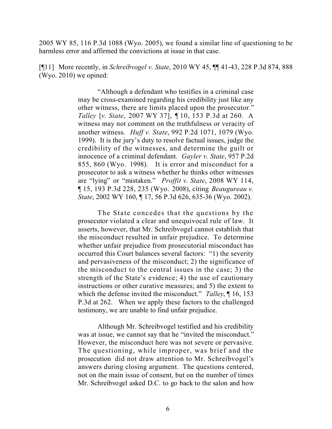2005 WY 85, 116 P.3d 1088 (Wyo. 2005), we found a similar line of questioning to be harmless error and affirmed the convictions at issue in that case.

[¶11] More recently, in *Schreibvogel v. State*, 2010 WY 45, ¶¶ 41-43, 228 P.3d 874, 888 (Wyo. 2010) we opined:

> "Although a defendant who testifies in a criminal case may be cross-examined regarding his credibility just like any other witness, there are limits placed upon the prosecutor." *Talley* [*v. State*, 2007 WY 37], ¶ 10, 153 P.3d at 260. A witness may not comment on the truthfulness or veracity of another witness. *Huff v. State*, 992 P.2d 1071, 1079 (Wyo. 1999). It is the jury's duty to resolve factual issues, judge the credibility of the witnesses, and determine the guilt or innocence of a criminal defendant. *Gayler v. State*, 957 P.2d 855, 860 (Wyo. 1998). It is error and misconduct for a prosecutor to ask a witness whether he thinks other witnesses are "lying" or "mistaken." *Proffit v. State*, 2008 WY 114, ¶ 15, 193 P.3d 228, 235 (Wyo. 2008), citing *Beaugureau v. State*, 2002 WY 160, ¶ 17, 56 P.3d 626, 635-36 (Wyo. 2002).

> The State concedes that the questions by the prosecutor violated a clear and unequivocal rule of law. It asserts, however, that Mr. Schreibvogel cannot establish that the misconduct resulted in unfair prejudice. To determine whether unfair prejudice from prosecutorial misconduct has occurred this Court balances several factors: "1) the severity and pervasiveness of the misconduct; 2) the significance of the misconduct to the central issues in the case; 3) the strength of the State's evidence; 4) the use of cautionary instructions or other curative measures; and 5) the extent to which the defense invited the misconduct." *Talley*, ¶ 16, 153 P.3d at 262. When we apply these factors to the challenged testimony, we are unable to find unfair prejudice.

> Although Mr. Schreibvogel testified and his credibility was at issue, we cannot say that he "invited the misconduct." However, the misconduct here was not severe or pervasive. The questioning, while improper, was brief and the prosecution did not draw attention to Mr. Schreibvogel's answers during closing argument. The questions centered, not on the main issue of consent, but on the number of times Mr. Schreibvogel asked D.C. to go back to the salon and how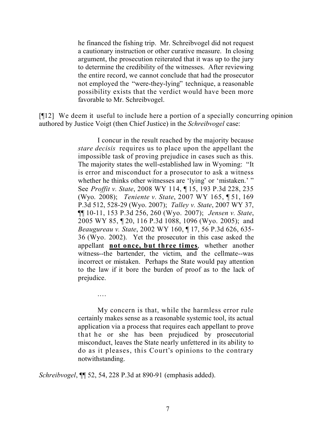he financed the fishing trip. Mr. Schreibvogel did not request a cautionary instruction or other curative measure. In closing argument, the prosecution reiterated that it was up to the jury to determine the credibility of the witnesses. After reviewing the entire record, we cannot conclude that had the prosecutor not employed the "were-they-lying" technique, a reasonable possibility exists that the verdict would have been more favorable to Mr. Schreibvogel.

[¶12] We deem it useful to include here a portion of a specially concurring opinion authored by Justice Voigt (then Chief Justice) in the *Schreibvogel* case:

> I concur in the result reached by the majority because *stare decisis* requires us to place upon the appellant the impossible task of proving prejudice in cases such as this. The majority states the well-established law in Wyoming: "It is error and misconduct for a prosecutor to ask a witness whether he thinks other witnesses are 'lying' or 'mistaken.' " See *Proffit v. State*, 2008 WY 114, ¶ 15, 193 P.3d 228, 235 (Wyo. 2008); *Teniente v. State*, 2007 WY 165, ¶ 51, 169 P.3d 512, 528-29 (Wyo. 2007); *Talley v. State*, 2007 WY 37, ¶¶ 10-11, 153 P.3d 256, 260 (Wyo. 2007); *Jensen v. State*, 2005 WY 85, ¶ 20, 116 P.3d 1088, 1096 (Wyo. 2005); and *Beaugureau v. State*, 2002 WY 160, ¶ 17, 56 P.3d 626, 635- 36 (Wyo. 2002). Yet the prosecutor in this case asked the appellant **not once, but three times**, whether another witness--the bartender, the victim, and the cellmate--was incorrect or mistaken. Perhaps the State would pay attention to the law if it bore the burden of proof as to the lack of prejudice.

> My concern is that, while the harmless error rule certainly makes sense as a reasonable systemic tool, its actual application via a process that requires each appellant to prove that he or she has been prejudiced by prosecutorial misconduct, leaves the State nearly unfettered in its ability to do as it pleases, this Court's opinions to the contrary notwithstanding.

*Schreibvogel*, ¶¶ 52, 54, 228 P.3d at 890-91 (emphasis added).

.…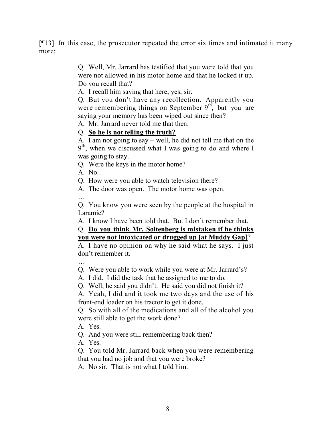[¶13] In this case, the prosecutor repeated the error six times and intimated it many more:

> Q. Well, Mr. Jarrard has testified that you were told that you were not allowed in his motor home and that he locked it up. Do you recall that?

A. I recall him saying that here, yes, sir.

Q. But you don't have any recollection. Apparently you were remembering things on September  $9<sup>th</sup>$ , but you are saying your memory has been wiped out since then?

A. Mr. Jarrard never told me that then.

# Q. **So he is not telling the truth?**

A. I am not going to say – well, he did not tell me that on the 9<sup>th</sup>, when we discussed what I was going to do and where I was going to stay.

Q. Were the keys in the motor home?

A. No.

Q. How were you able to watch television there?

A. The door was open. The motor home was open.

…

Q. You know you were seen by the people at the hospital in Laramie?

A. I know I have been told that. But I don't remember that.

# Q. **Do you think Mr. Soltenberg is mistaken if he thinks you were not intoxicated or drugged up [at Muddy Gap**]?

A. I have no opinion on why he said what he says. I just don't remember it.

… Q. Were you able to work while you were at Mr. Jarrard's?

A. I did. I did the task that he assigned to me to do.

Q. Well, he said you didn't. He said you did not finish it?

A. Yeah, I did and it took me two days and the use of his front-end loader on his tractor to get it done.

Q. So with all of the medications and all of the alcohol you were still able to get the work done?

A. Yes.

Q. And you were still remembering back then?

A. Yes.

Q. You told Mr. Jarrard back when you were remembering that you had no job and that you were broke?

A. No sir. That is not what I told him.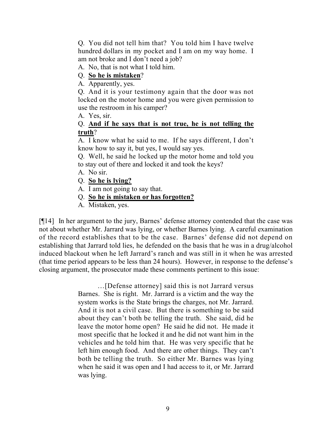Q. You did not tell him that? You told him I have twelve hundred dollars in my pocket and I am on my way home. I am not broke and I don't need a job?

A. No, that is not what I told him.

# Q. **So he is mistaken**?

A. Apparently, yes.

Q. And it is your testimony again that the door was not locked on the motor home and you were given permission to use the restroom in his camper?

A. Yes, sir.

# Q. **And if he says that is not true, he is not telling the truth**?

A. I know what he said to me. If he says different, I don't know how to say it, but yes, I would say yes.

Q. Well, he said he locked up the motor home and told you to stay out of there and locked it and took the keys?

- A. No sir.
- Q. **So he is lying?**
- A. I am not going to say that.
- Q. **So he is mistaken or has forgotten?**
- A. Mistaken, yes.

[¶14] In her argument to the jury, Barnes' defense attorney contended that the case was not about whether Mr. Jarrard was lying, or whether Barnes lying. A careful examination of the record establishes that to be the case. Barnes' defense did not depend on establishing that Jarrard told lies, he defended on the basis that he was in a drug/alcohol induced blackout when he left Jarrard's ranch and was still in it when he was arrested (that time period appears to be less than 24 hours). However, in response to the defense's closing argument, the prosecutor made these comments pertinent to this issue:

> …[Defense attorney] said this is not Jarrard versus Barnes. She is right. Mr. Jarrard is a victim and the way the system works is the State brings the charges, not Mr. Jarrard. And it is not a civil case. But there is something to be said about they can't both be telling the truth. She said, did he leave the motor home open? He said he did not. He made it most specific that he locked it and he did not want him in the vehicles and he told him that. He was very specific that he left him enough food. And there are other things. They can't both be telling the truth. So either Mr. Barnes was lying when he said it was open and I had access to it, or Mr. Jarrard was lying.